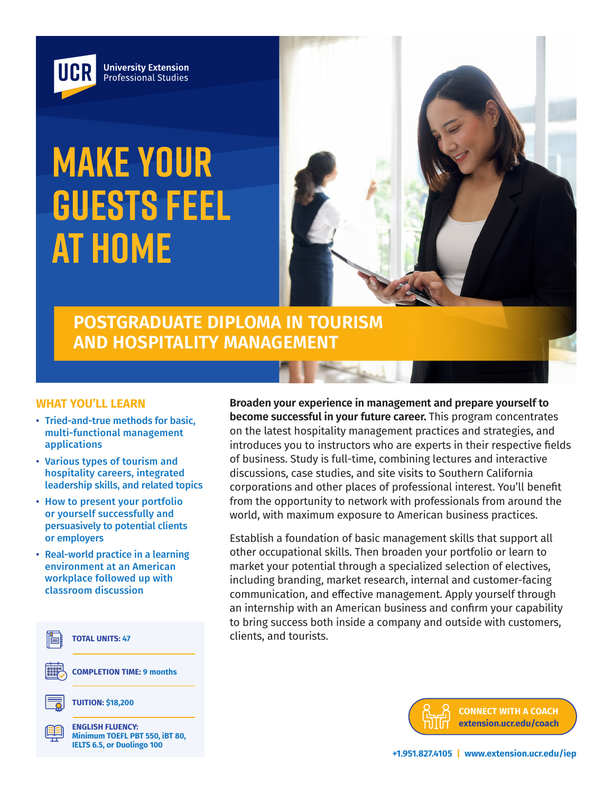

# **MAKE YOUR GUESTS FEEL AT HOME**



**POSTGRADUATE DIPLOMA IN TOURISM AND HOSPITALITY MANAGEMENT**

#### **WHAT YOU'LL LEARN**

- Tried-and-true methods for basic, multi-functional management applications
- Various types of tourism and hospitality careers, integrated leadership skills, and related topics
- How to present your portfolio or yourself successfully and persuasively to potential clients or employers
- Real-world practice in a learning environment at an American workplace followed up with classroom discussion



**Broaden your experience in management and prepare yourself to become successful in your future career.** This program concentrates on the latest hospitality management practices and strategies, and introduces you to instructors who are experts in their respective fields of business. Study is full-time, combining lectures and interactive discussions, case studies, and site visits to Southern California corporations and other places of professional interest. You'll benefit from the opportunity to network with professionals from around the world, with maximum exposure to American business practices.

Establish a foundation of basic management skills that support all other occupational skills. Then broaden your portfolio or learn to market your potential through a specialized selection of electives, including branding, market research, internal and customer-facing communication, and effective management. Apply yourself through an internship with an American business and confirm your capability to bring success both inside a company and outside with customers, clients, and tourists.

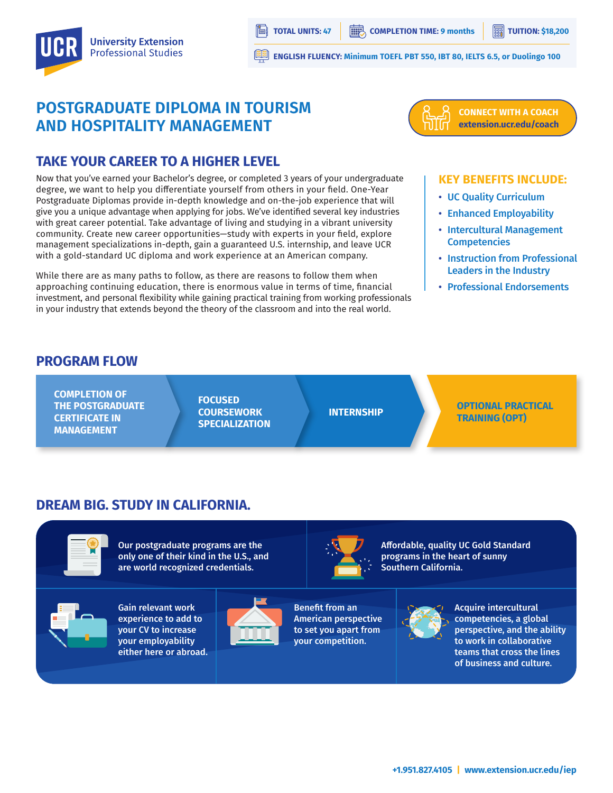

**ENGLISH FLUENCY: Minimum TOEFL PBT 550, IBT 80, IELTS 6.5, or Duolingo 100**

## **POSTGRADUATE DIPLOMA IN TOURISM AND HOSPITALITY MANAGEMENT**



#### **CONNECT WITH A COACH extension.ucr.edu/coach**

## **TAKE YOUR CAREER TO A HIGHER LEVEL**

Now that you've earned your Bachelor's degree, or completed 3 years of your undergraduate degree, we want to help you differentiate yourself from others in your field. One-Year Postgraduate Diplomas provide in-depth knowledge and on-the-job experience that will give you a unique advantage when applying for jobs. We've identified several key industries with great career potential. Take advantage of living and studying in a vibrant university community. Create new career opportunities—study with experts in your field, explore management specializations in-depth, gain a guaranteed U.S. internship, and leave UCR with a gold-standard UC diploma and work experience at an American company.

While there are as many paths to follow, as there are reasons to follow them when approaching continuing education, there is enormous value in terms of time, financial investment, and personal flexibility while gaining practical training from working professionals in your industry that extends beyond the theory of the classroom and into the real world.

#### **KEY BENEFITS INCLUDE:**

- UC Quality Curriculum
- Enhanced Employability
- Intercultural Management **Competencies**
- Instruction from Professional Leaders in the Industry
- Professional Endorsements

#### **PROGRAM FLOW**

**COMPLETION OF THE POSTGRADUATE CERTIFICATE IN MANAGEMENT**

**FOCUSED COURSEWORK SPECIALIZATION**

**INTERNSHIP OPTIONAL PRACTICAL TRAINING (OPT)**

## **DREAM BIG. STUDY IN CALIFORNIA.**



Our postgraduate programs are the only one of their kind in the U.S., and are world recognized credentials.



Gain relevant work experience to add to your CV to increase your employability either here or abroad.





Benefit from an American perspective to set you apart from your competition.

Affordable, quality UC Gold Standard programs in the heart of sunny Southern California.



Acquire intercultural competencies, a global perspective, and the ability to work in collaborative teams that cross the lines of business and culture.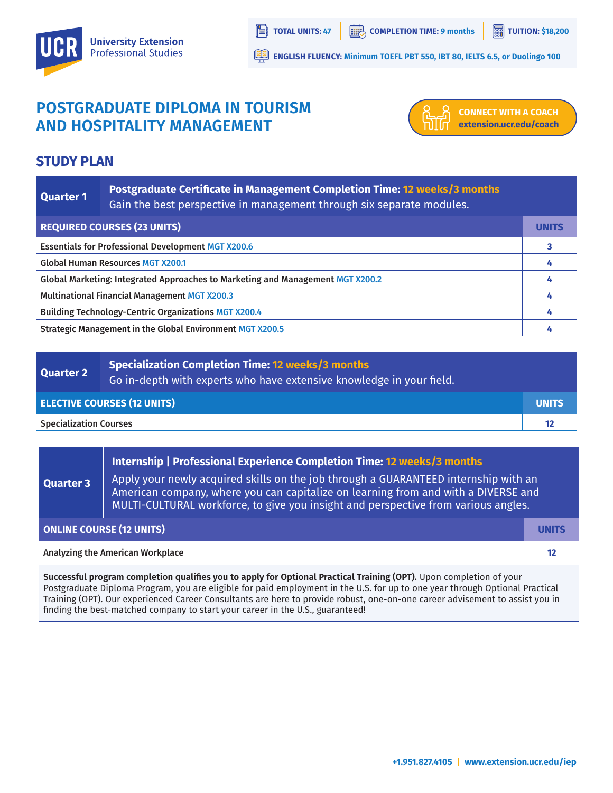

**ENGLISH FLUENCY: Minimum TOEFL PBT 550, IBT 80, IELTS 6.5, or Duolingo 100**

# **POSTGRADUATE DIPLOMA IN TOURISM AND HOSPITALITY MANAGEMENT**



**CONNECT WITH A COACH extension.ucr.edu/coach**

## **STUDY PLAN**

| Quarter 1                                                                      | Postgraduate Certificate in Management Completion Time: 12 weeks/3 months<br>Gain the best perspective in management through six separate modules. |              |
|--------------------------------------------------------------------------------|----------------------------------------------------------------------------------------------------------------------------------------------------|--------------|
| <b>REQUIRED COURSES (23 UNITS)</b>                                             |                                                                                                                                                    | <b>UNITS</b> |
| <b>Essentials for Professional Development MGT X200.6</b>                      |                                                                                                                                                    |              |
| <b>Global Human Resources MGT X200.1</b>                                       |                                                                                                                                                    |              |
| Global Marketing: Integrated Approaches to Marketing and Management MGT X200.2 |                                                                                                                                                    |              |
| <b>Multinational Financial Management MGT X200.3</b>                           |                                                                                                                                                    |              |
| <b>Building Technology-Centric Organizations MGT X200.4</b>                    |                                                                                                                                                    |              |
| Strategic Management in the Global Environment MGT X200.5                      |                                                                                                                                                    |              |

| Quarter 2                          | Specialization Completion Time: 12 weeks/3 months<br>Go in-depth with experts who have extensive knowledge in your field. $^{\dagger}$ |              |
|------------------------------------|----------------------------------------------------------------------------------------------------------------------------------------|--------------|
| <b>ELECTIVE COURSES (12 UNITS)</b> |                                                                                                                                        | <b>UNITS</b> |
| <b>Specialization Courses</b>      |                                                                                                                                        |              |

#### **Internship | Professional Experience Completion Time: 12 weeks/3 months**

**Quarter 3** Apply your newly acquired skills on the job through a GUARANTEED internship with an American company, where you can capitalize on learning from and with a DIVERSE and MULTI-CULTURAL workforce, to give you insight and perspective from various angles.

| <b>ONLINE COURSE (12 UNITS)</b>  | UNITS |
|----------------------------------|-------|
| Analyzing the American Workplace |       |
|                                  |       |

**Successful program completion qualifies you to apply for Optional Practical Training (OPT).** Upon completion of your Postgraduate Diploma Program, you are eligible for paid employment in the U.S. for up to one year through Optional Practical Training (OPT). Our experienced Career Consultants are here to provide robust, one-on-one career advisement to assist you in finding the best-matched company to start your career in the U.S., guaranteed!